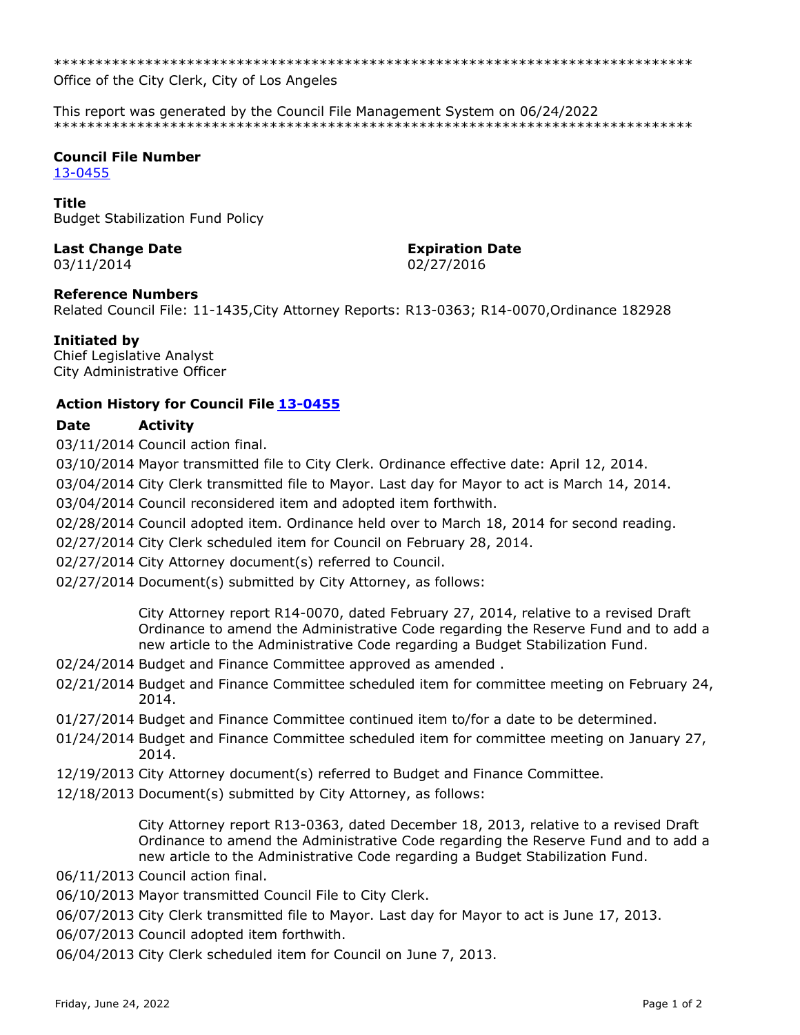\*\*\*\*\*\*\*\*\*\*\*\*\*\*\*\*\*\*\*\*\*\*\*\*\*\*\*\*\*\*\*\*\*\*\*\*\*\*\*\*\*\*\*\*\*\*\*\*\*\*\*\*\*\*\*\*\*\*\*\*\*\*\*\*\*\*\*\*\*\*\*\*\*\*\*\*\*

Office of the City Clerk, City of Los Angeles

This report was generated by the Council File Management System on 06/24/2022 \*\*\*\*\*\*\*\*\*\*\*\*\*\*\*\*\*\*\*\*\*\*\*\*\*\*\*\*\*\*\*\*\*\*\*\*\*\*\*\*\*\*\*\*\*\*\*\*\*\*\*\*\*\*\*\*\*\*\*\*\*\*\*\*\*\*\*\*\*\*\*\*\*\*\*\*\*

# **Council File Number**

[13-0455](https://cityclerk.lacity.org/lacityclerkconnect/index.cfm?fa=ccfi.viewrecord&cfnumber=13-0455)

#### **Title**

Budget Stabilization Fund Policy

# **Last Change Date Expiration Date**

# 03/11/2014 02/27/2016

#### **Reference Numbers**

Related Council File: 11-1435,City Attorney Reports: R13-0363; R14-0070,Ordinance 182928

# **Initiated by**

Chief Legislative Analyst City Administrative Officer

# **Action History for Council File [13-0455](https://cityclerk.lacity.org/lacityclerkconnect/index.cfm?fa=ccfi.viewrecord&cfnumber=13-0455)**

# **Date Activity**

03/11/2014 Council action final.

03/10/2014 Mayor transmitted file to City Clerk. Ordinance effective date: April 12, 2014.

03/04/2014 City Clerk transmitted file to Mayor. Last day for Mayor to act is March 14, 2014.

03/04/2014 Council reconsidered item and adopted item forthwith.

02/28/2014 Council adopted item. Ordinance held over to March 18, 2014 for second reading.

02/27/2014 City Clerk scheduled item for Council on February 28, 2014.

02/27/2014 City Attorney document(s) referred to Council.

02/27/2014 Document(s) submitted by City Attorney, as follows:

City Attorney report R14-0070, dated February 27, 2014, relative to a revised Draft Ordinance to amend the Administrative Code regarding the Reserve Fund and to add a new article to the Administrative Code regarding a Budget Stabilization Fund.

- 02/24/2014 Budget and Finance Committee approved as amended .
- 02/21/2014 Budget and Finance Committee scheduled item for committee meeting on February 24, 2014.
- 01/27/2014 Budget and Finance Committee continued item to/for a date to be determined.
- 01/24/2014 Budget and Finance Committee scheduled item for committee meeting on January 27, 2014.
- 12/19/2013 City Attorney document(s) referred to Budget and Finance Committee.
- 12/18/2013 Document(s) submitted by City Attorney, as follows:

City Attorney report R13-0363, dated December 18, 2013, relative to a revised Draft Ordinance to amend the Administrative Code regarding the Reserve Fund and to add a new article to the Administrative Code regarding a Budget Stabilization Fund.

06/11/2013 Council action final.

06/10/2013 Mayor transmitted Council File to City Clerk.

06/07/2013 City Clerk transmitted file to Mayor. Last day for Mayor to act is June 17, 2013.

06/07/2013 Council adopted item forthwith.

06/04/2013 City Clerk scheduled item for Council on June 7, 2013.